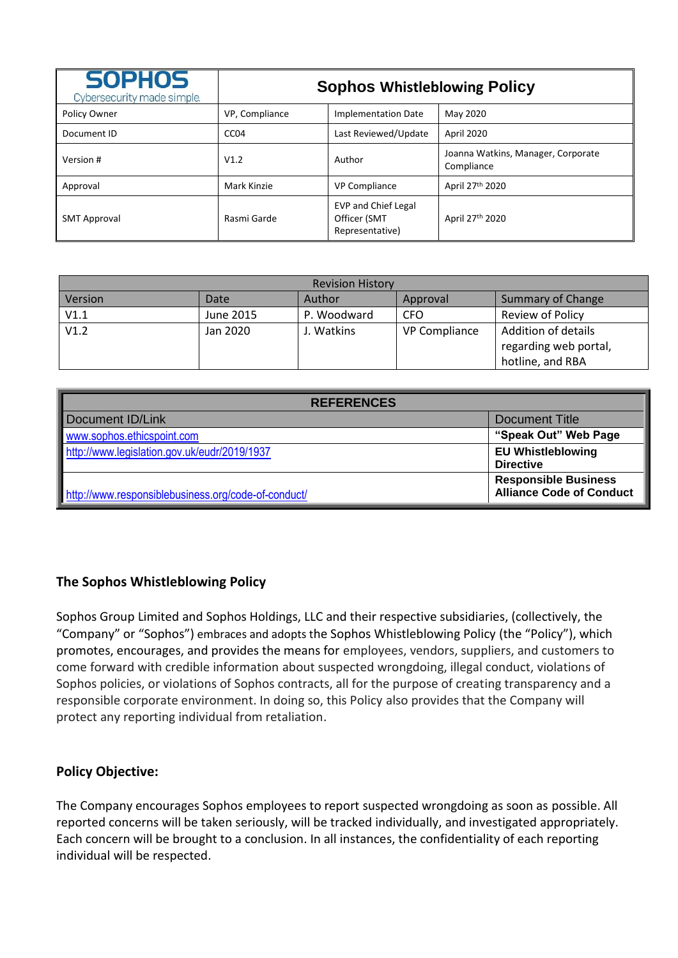| <b>SOPHOS</b><br>Cybersecurity made simple. | <b>Sophos Whistleblowing Policy</b> |                                                               |                                                  |  |  |
|---------------------------------------------|-------------------------------------|---------------------------------------------------------------|--------------------------------------------------|--|--|
| Policy Owner                                | VP, Compliance                      | <b>Implementation Date</b>                                    | May 2020                                         |  |  |
| Document ID                                 | CC <sub>04</sub>                    | Last Reviewed/Update                                          | April 2020                                       |  |  |
| Version #                                   | V1.2                                | Author                                                        | Joanna Watkins, Manager, Corporate<br>Compliance |  |  |
| Approval                                    | Mark Kinzie                         | <b>VP Compliance</b>                                          | April 27 <sup>th</sup> 2020                      |  |  |
| <b>SMT Approval</b>                         | Rasmi Garde                         | <b>EVP and Chief Legal</b><br>Officer (SMT<br>Representative) | April 27th 2020                                  |  |  |

| <b>Revision History</b> |           |             |                      |                          |  |  |  |
|-------------------------|-----------|-------------|----------------------|--------------------------|--|--|--|
| Version                 | Date      | Author      | Approval             | <b>Summary of Change</b> |  |  |  |
| V1.1                    | June 2015 | P. Woodward | CFO                  | Review of Policy         |  |  |  |
| V1.2                    | Jan 2020  | J. Watkins  | <b>VP Compliance</b> | Addition of details      |  |  |  |
|                         |           |             |                      | regarding web portal,    |  |  |  |
|                         |           |             |                      | hotline, and RBA         |  |  |  |

| <b>REFERENCES</b>                                   |                                 |  |  |  |
|-----------------------------------------------------|---------------------------------|--|--|--|
| Document ID/Link                                    | Document Title                  |  |  |  |
| www.sophos.ethicspoint.com                          | "Speak Out" Web Page            |  |  |  |
| http://www.legislation.gov.uk/eudr/2019/1937        | <b>EU Whistleblowing</b>        |  |  |  |
|                                                     | <b>Directive</b>                |  |  |  |
|                                                     | <b>Responsible Business</b>     |  |  |  |
| http://www.responsiblebusiness.org/code-of-conduct/ | <b>Alliance Code of Conduct</b> |  |  |  |

## **The Sophos Whistleblowing Policy**

Sophos Group Limited and Sophos Holdings, LLC and their respective subsidiaries, (collectively, the "Company" or "Sophos") embraces and adopts the Sophos Whistleblowing Policy (the "Policy"), which promotes, encourages, and provides the means for employees, vendors, suppliers, and customers to come forward with credible information about suspected wrongdoing, illegal conduct, violations of Sophos policies, or violations of Sophos contracts, all for the purpose of creating transparency and a responsible corporate environment. In doing so, this Policy also provides that the Company will protect any reporting individual from retaliation.

## **Policy Objective:**

The Company encourages Sophos employees to report suspected wrongdoing as soon as possible. All reported concerns will be taken seriously, will be tracked individually, and investigated appropriately. Each concern will be brought to a conclusion. In all instances, the confidentiality of each reporting individual will be respected.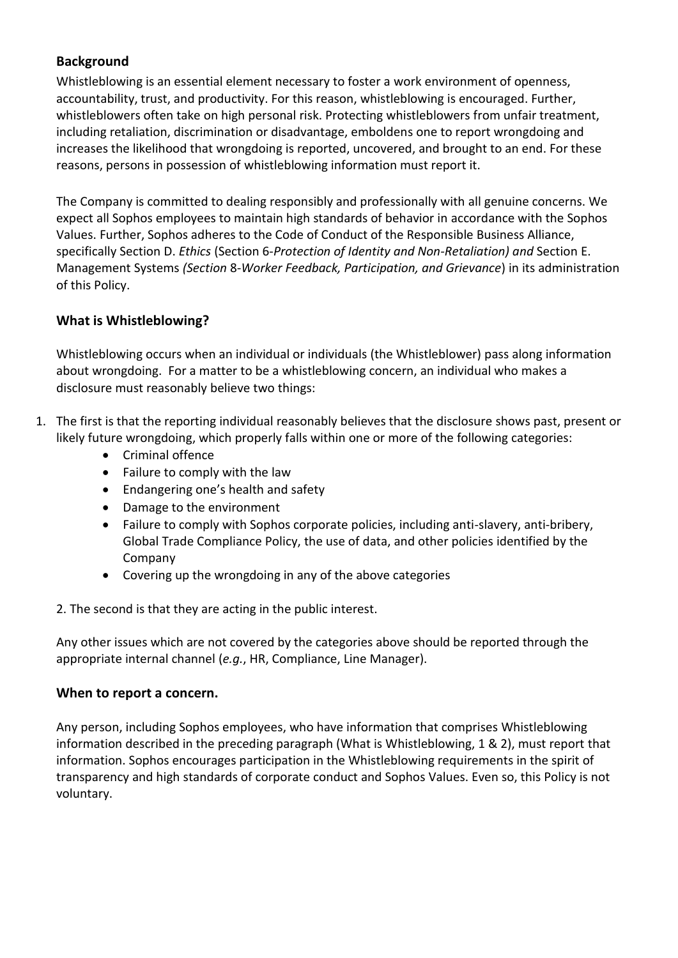# **Background**

Whistleblowing is an essential element necessary to foster a work environment of openness, accountability, trust, and productivity. For this reason, whistleblowing is encouraged. Further, whistleblowers often take on high personal risk. Protecting whistleblowers from unfair treatment, including retaliation, discrimination or disadvantage, emboldens one to report wrongdoing and increases the likelihood that wrongdoing is reported, uncovered, and brought to an end. For these reasons, persons in possession of whistleblowing information must report it.

The Company is committed to dealing responsibly and professionally with all genuine concerns. We expect all Sophos employees to maintain high standards of behavior in accordance with the Sophos Values. Further, Sophos adheres to the Code of Conduct of the Responsible Business Alliance, specifically Section D. *Ethics* (Section 6-*Protection of Identity and Non-Retaliation) and* Section E. Management Systems *(Section* 8*-Worker Feedback, Participation, and Grievance*) in its administration of this Policy.

## **What is Whistleblowing?**

Whistleblowing occurs when an individual or individuals (the Whistleblower) pass along information about wrongdoing. For a matter to be a whistleblowing concern, an individual who makes a disclosure must reasonably believe two things:

- 1. The first is that the reporting individual reasonably believes that the disclosure shows past, present or likely future wrongdoing, which properly falls within one or more of the following categories:
	- Criminal offence
	- Failure to comply with the law
	- Endangering one's health and safety
	- Damage to the environment
	- Failure to comply with Sophos corporate policies, including anti-slavery, anti-bribery, Global Trade Compliance Policy, the use of data, and other policies identified by the Company
	- Covering up the wrongdoing in any of the above categories
	- 2. The second is that they are acting in the public interest.

Any other issues which are not covered by the categories above should be reported through the appropriate internal channel (*e.g.*, HR, Compliance, Line Manager).

#### **When to report a concern.**

Any person, including Sophos employees, who have information that comprises Whistleblowing information described in the preceding paragraph (What is Whistleblowing, 1 & 2), must report that information. Sophos encourages participation in the Whistleblowing requirements in the spirit of transparency and high standards of corporate conduct and Sophos Values. Even so, this Policy is not voluntary.